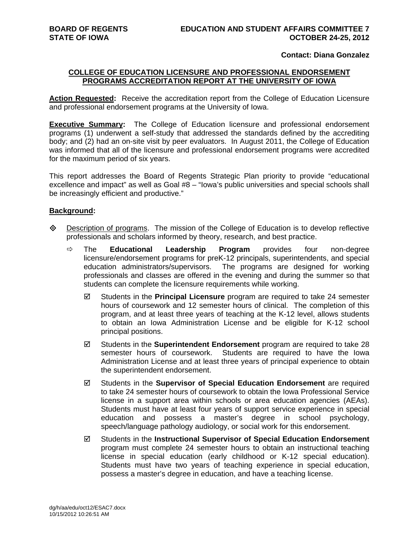## **Contact: Diana Gonzalez**

## **COLLEGE OF EDUCATION LICENSURE AND PROFESSIONAL ENDORSEMENT PROGRAMS ACCREDITATION REPORT AT THE UNIVERSITY OF IOWA**

**Action Requested:** Receive the accreditation report from the College of Education Licensure and professional endorsement programs at the University of Iowa.

**Executive Summary:** The College of Education licensure and professional endorsement programs (1) underwent a self-study that addressed the standards defined by the accrediting body; and (2) had an on-site visit by peer evaluators. In August 2011, the College of Education was informed that all of the licensure and professional endorsement programs were accredited for the maximum period of six years.

This report addresses the Board of Regents Strategic Plan priority to provide "educational excellence and impact" as well as Goal #8 – "Iowa's public universities and special schools shall be increasingly efficient and productive."

## **Background:**

- $\Diamond$  Description of programs. The mission of the College of Education is to develop reflective professionals and scholars informed by theory, research, and best practice.
	- The **Educational Leadership Program** provides four non-degree licensure/endorsement programs for preK-12 principals, superintendents, and special education administrators/supervisors. The programs are designed for working professionals and classes are offered in the evening and during the summer so that students can complete the licensure requirements while working.
		- Students in the **Principal Licensure** program are required to take 24 semester hours of coursework and 12 semester hours of clinical. The completion of this program, and at least three years of teaching at the K-12 level, allows students to obtain an Iowa Administration License and be eligible for K-12 school principal positions.
		- Students in the **Superintendent Endorsement** program are required to take 28 semester hours of coursework. Students are required to have the Iowa Administration License and at least three years of principal experience to obtain the superintendent endorsement.
		- Students in the **Supervisor of Special Education Endorsement** are required to take 24 semester hours of coursework to obtain the Iowa Professional Service license in a support area within schools or area education agencies (AEAs). Students must have at least four years of support service experience in special education and possess a master's degree in school psychology, speech/language pathology audiology, or social work for this endorsement.
		- Students in the **Instructional Supervisor of Special Education Endorsement** program must complete 24 semester hours to obtain an instructional teaching license in special education (early childhood or K-12 special education). Students must have two years of teaching experience in special education, possess a master's degree in education, and have a teaching license.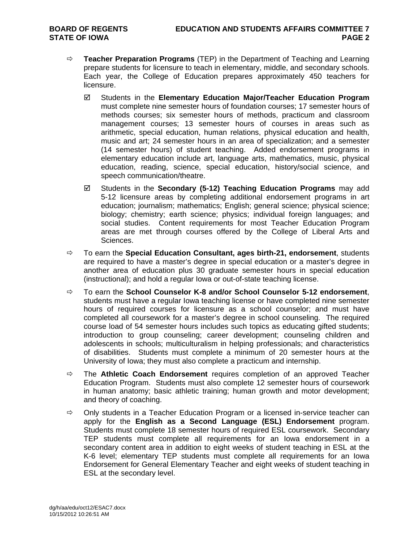- **Teacher Preparation Programs** (TEP) in the Department of Teaching and Learning prepare students for licensure to teach in elementary, middle, and secondary schools. Each year, the College of Education prepares approximately 450 teachers for licensure.
	- Students in the **Elementary Education Major/Teacher Education Program** must complete nine semester hours of foundation courses; 17 semester hours of methods courses; six semester hours of methods, practicum and classroom management courses; 13 semester hours of courses in areas such as arithmetic, special education, human relations, physical education and health, music and art; 24 semester hours in an area of specialization; and a semester (14 semester hours) of student teaching. Added endorsement programs in elementary education include art, language arts, mathematics, music, physical education, reading, science, special education, history/social science, and speech communication/theatre.
	- Students in the **Secondary (5-12) Teaching Education Programs** may add 5-12 licensure areas by completing additional endorsement programs in art education; journalism; mathematics; English; general science; physical science; biology; chemistry; earth science; physics; individual foreign languages; and social studies. Content requirements for most Teacher Education Program areas are met through courses offered by the College of Liberal Arts and Sciences.
- To earn the **Special Education Consultant, ages birth-21, endorsement**, students are required to have a master's degree in special education or a master's degree in another area of education plus 30 graduate semester hours in special education (instructional); and hold a regular Iowa or out-of-state teaching license.
- To earn the **School Counselor K-8 and/or School Counselor 5-12 endorsement**, students must have a regular Iowa teaching license or have completed nine semester hours of required courses for licensure as a school counselor; and must have completed all coursework for a master's degree in school counseling. The required course load of 54 semester hours includes such topics as educating gifted students; introduction to group counseling; career development; counseling children and adolescents in schools; multiculturalism in helping professionals; and characteristics of disabilities. Students must complete a minimum of 20 semester hours at the University of Iowa; they must also complete a practicum and internship.
- The **Athletic Coach Endorsement** requires completion of an approved Teacher Education Program. Students must also complete 12 semester hours of coursework in human anatomy; basic athletic training; human growth and motor development; and theory of coaching.
- $\Rightarrow$  Only students in a Teacher Education Program or a licensed in-service teacher can apply for the **English as a Second Language (ESL) Endorsement** program. Students must complete 18 semester hours of required ESL coursework. Secondary TEP students must complete all requirements for an Iowa endorsement in a secondary content area in addition to eight weeks of student teaching in ESL at the K-6 level; elementary TEP students must complete all requirements for an Iowa Endorsement for General Elementary Teacher and eight weeks of student teaching in ESL at the secondary level.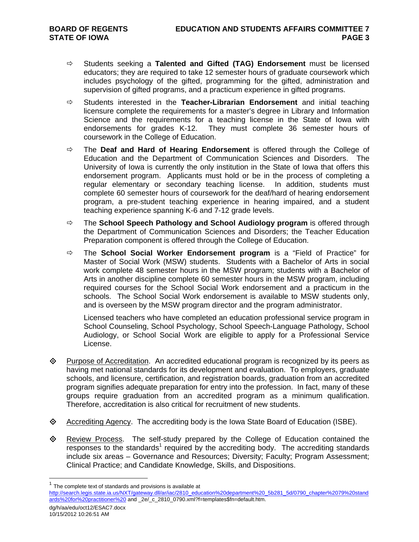- Students seeking a **Talented and Gifted (TAG) Endorsement** must be licensed educators; they are required to take 12 semester hours of graduate coursework which includes psychology of the gifted, programming for the gifted, administration and supervision of gifted programs, and a practicum experience in gifted programs.
- $\Rightarrow$  Students interested in the **Teacher-Librarian Endorsement** and initial teaching licensure complete the requirements for a master's degree in Library and Information Science and the requirements for a teaching license in the State of Iowa with endorsements for grades K-12. They must complete 36 semester hours of coursework in the College of Education.
- The **Deaf and Hard of Hearing Endorsement** is offered through the College of Education and the Department of Communication Sciences and Disorders. The University of Iowa is currently the only institution in the State of Iowa that offers this endorsement program. Applicants must hold or be in the process of completing a regular elementary or secondary teaching license. In addition, students must complete 60 semester hours of coursework for the deaf/hard of hearing endorsement program, a pre-student teaching experience in hearing impaired, and a student teaching experience spanning K-6 and 7-12 grade levels.
- The **School Speech Pathology and School Audiology program** is offered through the Department of Communication Sciences and Disorders; the Teacher Education Preparation component is offered through the College of Education.
- The **School Social Worker Endorsement program** is a "Field of Practice" for Master of Social Work (MSW) students. Students with a Bachelor of Arts in social work complete 48 semester hours in the MSW program; students with a Bachelor of Arts in another discipline complete 60 semester hours in the MSW program, including required courses for the School Social Work endorsement and a practicum in the schools. The School Social Work endorsement is available to MSW students only, and is overseen by the MSW program director and the program administrator.

Licensed teachers who have completed an education professional service program in School Counseling, School Psychology, School Speech-Language Pathology, School Audiology, or School Social Work are eligible to apply for a Professional Service License.

- Purpose of Accreditation. An accredited educational program is recognized by its peers as having met national standards for its development and evaluation. To employers, graduate schools, and licensure, certification, and registration boards, graduation from an accredited program signifies adequate preparation for entry into the profession. In fact, many of these groups require graduation from an accredited program as a minimum qualification. Therefore, accreditation is also critical for recruitment of new students.
- $\Diamond$  Accrediting Agency. The accrediting body is the Iowa State Board of Education (ISBE).
- $\Leftrightarrow$  Review Process. The self-study prepared by the College of Education contained the responses to the standards<sup>1</sup> required by the accrediting body. The accrediting standards include six areas – Governance and Resources; Diversity; Faculty; Program Assessment; Clinical Practice; and Candidate Knowledge, Skills, and Dispositions.

 $\overline{a}$ 

The complete text of standards and provisions is available at

http://search.legis.state.ia.us/NXT/gateway.dll/ar/iac/2810\_education%20department%20\_5b281\_5d/0790\_chapter%2079%20stand ards%20for%20practitioner%20 and \_2e/\_c\_2810\_0790.xml?f=templates\$fn=default.htm.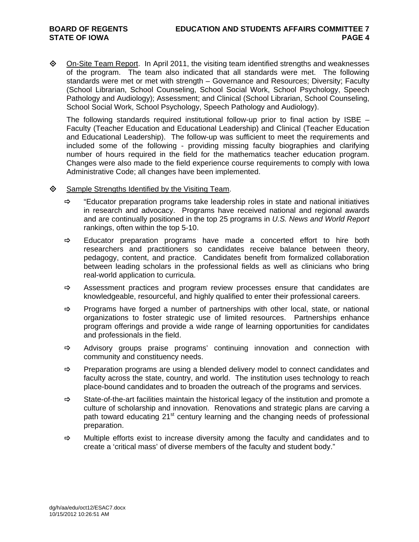$\Diamond$  On-Site Team Report. In April 2011, the visiting team identified strengths and weaknesses of the program. The team also indicated that all standards were met. The following standards were met or met with strength – Governance and Resources; Diversity; Faculty (School Librarian, School Counseling, School Social Work, School Psychology, Speech Pathology and Audiology); Assessment; and Clinical (School Librarian, School Counseling, School Social Work, School Psychology, Speech Pathology and Audiology).

The following standards required institutional follow-up prior to final action by ISBE – Faculty (Teacher Education and Educational Leadership) and Clinical (Teacher Education and Educational Leadership). The follow-up was sufficient to meet the requirements and included some of the following - providing missing faculty biographies and clarifying number of hours required in the field for the mathematics teacher education program. Changes were also made to the field experience course requirements to comply with Iowa Administrative Code; all changes have been implemented.

- $\diamond$  Sample Strengths Identified by the Visiting Team.
	- $\Rightarrow$  "Educator preparation programs take leadership roles in state and national initiatives in research and advocacy. Programs have received national and regional awards and are continually positioned in the top 25 programs in *U.S. News and World Report* rankings, often within the top 5-10.
	- $\Rightarrow$  Educator preparation programs have made a concerted effort to hire both researchers and practitioners so candidates receive balance between theory, pedagogy, content, and practice. Candidates benefit from formalized collaboration between leading scholars in the professional fields as well as clinicians who bring real-world application to curricula.
	- $\Rightarrow$  Assessment practices and program review processes ensure that candidates are knowledgeable, resourceful, and highly qualified to enter their professional careers.
	- $\Rightarrow$  Programs have forged a number of partnerships with other local, state, or national organizations to foster strategic use of limited resources. Partnerships enhance program offerings and provide a wide range of learning opportunities for candidates and professionals in the field.
	- $\Rightarrow$  Advisory groups praise programs' continuing innovation and connection with community and constituency needs.
	- $\Rightarrow$  Preparation programs are using a blended delivery model to connect candidates and faculty across the state, country, and world. The institution uses technology to reach place-bound candidates and to broaden the outreach of the programs and services.
	- $\Rightarrow$  State-of-the-art facilities maintain the historical legacy of the institution and promote a culture of scholarship and innovation. Renovations and strategic plans are carving a path toward educating 21<sup>st</sup> century learning and the changing needs of professional preparation.
	- $\Rightarrow$  Multiple efforts exist to increase diversity among the faculty and candidates and to create a 'critical mass' of diverse members of the faculty and student body."